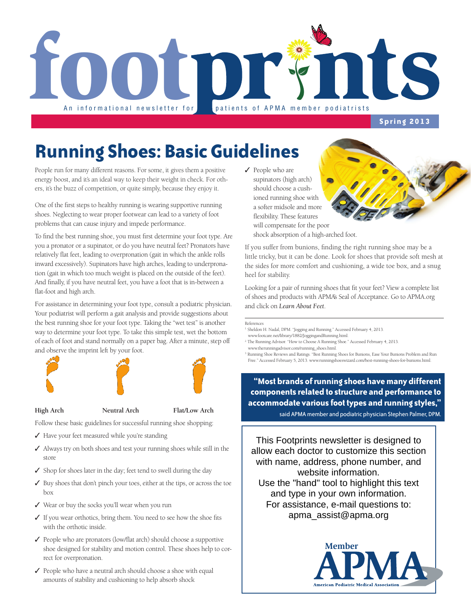

### **Spring 2013**

## **Running Shoes: Basic Guidelines**

People run for many different reasons. For some, it gives them a positive energy boost, and it's an ideal way to keep their weight in check. For others, it's the buzz of competition, or quite simply, because they enjoy it.

One of the first steps to healthy running is wearing supportive running shoes. Neglecting to wear proper footwear can lead to a variety of foot problems that can cause injury and impede performance.

To find the best running shoe, you must first determine your foot type. Are you a pronator or a supinator, or do you have neutral feet? Pronators have relatively flat feet, leading to overpronation (gait in which the ankle rolls inward excessively). Supinators have high arches, leading to underpronation (gait in which too much weight is placed on the outside of the feet). And finally, if you have neutral feet, you have a foot that is in-between a flat-foot and high arch.

For assistance in determining your foot type, consult a podiatric physician. Your podiatrist will perform a gait analysis and provide suggestions about the best running shoe for your foot type. Taking the "wet test" is another way to determine your foot type. To take this simple test, wet the bottom of each of foot and stand normally on a paper bag. After a minute, step off and observe the imprint left by your foot.







#### **High Arch Neutral Arch Flat/Low Arch**

Follow these basic guidelines for successful running shoe shopping:

- ✓ Have your feet measured while you're standing
- ✓ Always try on both shoes and test your running shoes while still in the store
- ✓ Shop for shoes later in the day; feet tend to swell during the day
- ✓ Buy shoes that don't pinch your toes, either at the tips, or across the toe box
- ✓ Wear or buy the socks you'll wear when you run
- ✓ If you wear orthotics, bring them. You need to see how the shoe fits with the orthotic inside.
- ✓ People who are pronators (low/flat arch) should choose a supportive shoe designed for stability and motion control. These shoes help to correct for overpronation.
- ✓ People who have a neutral arch should choose a shoe with equal amounts of stability and cushioning to help absorb shock

✓ People who are supinators (high arch) should choose a cushioned running shoe with a softer midsole and more flexibility. These features will compensate for the poor shock absorption of a high-arched foot.

If you suffer from bunions, finding the right running shoe may be a little tricky, but it can be done. Look for shoes that provide soft mesh at the sides for more comfort and cushioning, a wide toe box, and a snug heel for stability.

Looking for a pair of running shoes that fit your feet? View a complete list of shoes and products with APMA's Seal of Acceptance. Go to APMA.org and click on *Learn About Feet*.

References

- 1. Sheldon H. Nadal, DPM. "Jogging and Running." Accessed February 4, 2013.
- www.footcare.net/library/1882/JoggingandRunning.html.
- 2. The Running Advisor. "How to Choose A Running Shoe." Accessed February 4, 2013. www.therunningadvisor.com/running\_shoes.html.
- 3. Running Shoe Reviews and Ratings. "Best Running Shoes for Bunions, Ease Your Bunions Problem and Run Free." Accessed February 5, 2013. www.runningshoeswizard.com/best-running-shoes-for-bunions.html.

**"Most brands of running shoes have many different components related to structure and performance to accommodate various foot types and running styles,"** 

said APMA member and podiatric physician Stephen Palmer, DPM.

This Footprints newsletter is designed to allow each doctor to customize this section with name, address, phone number, and website information. Use the "hand" tool to highlight this text and type in your own information. For assistance, e-mail questions to: apma\_assist@apma.org